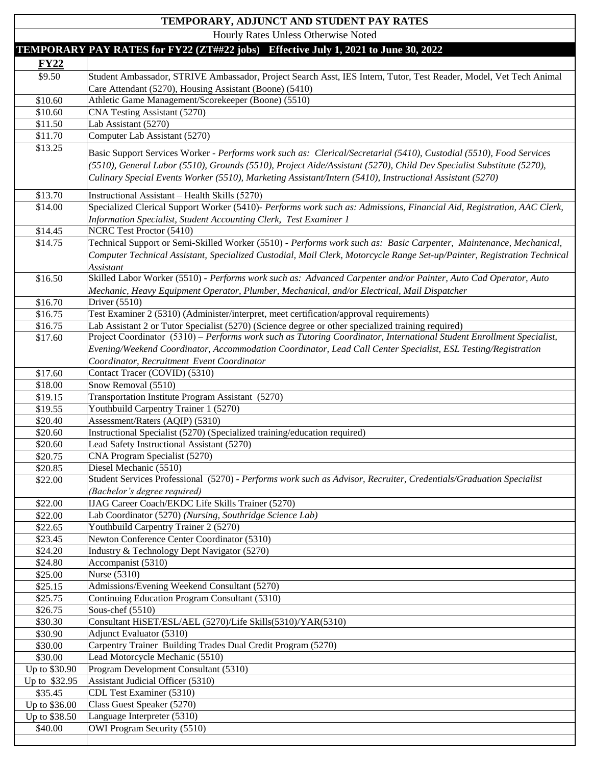## \$9.50 Student Ambassador, STRIVE Ambassador, Project Search Asst, IES Intern, Tutor, Test Reader, Model, Vet Tech Animal Care Attendant (5270), Housing Assistant (Boone) (5410) \$10.60 Athletic Game Management/Scorekeeper (Boone) (5510) \$10.60 CNA Testing Assistant (5270) \$11.70 Computer Lab Assistant (5270) \$13.25 Basic Support Services Worker - *Performs work such as: Clerical/Secretarial (5410), Custodial (5510), Food Services (5510), General Labor (5510), Grounds (5510), Project Aide/Assistant (5270), Child Dev Specialist Substitute (5270), Culinary Special Events Worker (5510), Marketing Assistant/Intern (5410), Instructional Assistant (5270)*  \$13.70 Instructional Assistant – Health Skills (5270) \$14.00 Specialized Clerical Support Worker (5410)- *Performs work such as: Admissions, Financial Aid, Registration, AAC Clerk, Information Specialist, Student Accounting Clerk, Test Examiner 1*  \$14.45 NCRC Test Proctor (5410) \$14.75 Technical Support or Semi-Skilled Worker (5510) - *Performs work such as: Basic Carpenter, Maintenance, Mechanical,*  \$16.50 Skilled Labor Worker (5510) - *Performs work such as: Advanced Carpenter and/or Painter, Auto Cad Operator, Auto Mechanic, Heavy Equipment Operator, Plumber, Mechanical, and/or Electrical, Mail Dispatcher*  \$16.75 Test Examiner 2 (5310) (Administer/interpret, meet certification/approval requirements) \$16.75 Lab Assistant 2 or Tutor Specialist (5270) (Science degree or other specialized training required) \$17.60 Project Coordinator (5310) – *Performs work such as Tutoring Coordinator, International Student Enrollment Specialist, Evening/Weekend Coordinator, Accommodation Coordinator, Lead Call Center Specialist, ESL Testing/Registration*  \$17.60 Contact Tracer (COVID) (5310) \$19.55 Youthbuild Carpentry Trainer 1 (5270) \$20.40 Assessment/Raters (AQIP) (5310) \$20.60 Instructional Specialist (5270) (Specialized training/education required) \$20.60 Lead Safety Instructional Assistant (5270) \$20.75 CNA Program Specialist (5270) \$22.00 Student Services Professional (5270) - *Performs work such as Advisor, Recruiter, Credentials/Graduation Specialist (Bachelor's degree required)* \$22.00 IJAG Career Coach/EKDC Life Skills Trainer (5270) \$22.00 Lab Coordinator (5270) *(Nursing, Southridge Science Lab)*  \$22.65 Youthbuild Carpentry Trainer 2 (5270) \$23.45 Newton Conference Center Coordinator (5310) \$24.20 | Industry & Technology Dept Navigator (5270) \$25.15 Admissions/Evening Weekend Consultant (5270) \$25.75 Continuing Education Program Consultant (5310)  $$26.75$  Sous-chef (5510) \$30.30 Consultant HiSET/ESL/AEL (5270)/Life Skills(5310)/YAR(5310) \$30.90 Adjunct Evaluator (5310) \$30.00 Carpentry Trainer Building Trades Dual Credit Program (5270) Up to \$30.90 Up to \$32.95 Up to \$36.00 Up to \$38.50  **- TEMPORARY PAY RATES for FY22 (ZT##22 jobs) Effective July 1, 2021 to June 30, 2022**   $\frac{FY22}{\sqrt{2}}$ **TEMPORARY, ADJUNCT AND STUDENT PAY RATES**  Hourly Rates Unless Otherwise Noted \$11.50 Lab Assistant (5270) *Computer Technical Assistant, Specialized Custodial, Mail Clerk, Motorcycle Range Set-up/Painter, Registration Technical Assistant*  \$16.70 Driver (5510) *Coordinator, Recruitment Event Coordinator*  \$18.00 **Snow Removal** (5510) \$19.15 Transportation Institute Program Assistant (5270) \$20.85 Diesel Mechanic (5510) \$24.80 Accompanist (5310) \$25.00 Nurse (5310) \$30.00 Lead Motorcycle Mechanic (5510) Program Development Consultant (5310) Assistant Judicial Officer  $(5310)$ \$35.45 CDL Test Examiner (5310) Class Guest Speaker (5270) Language Interpreter (5310)

\$40.00 OWI Program Security (5510)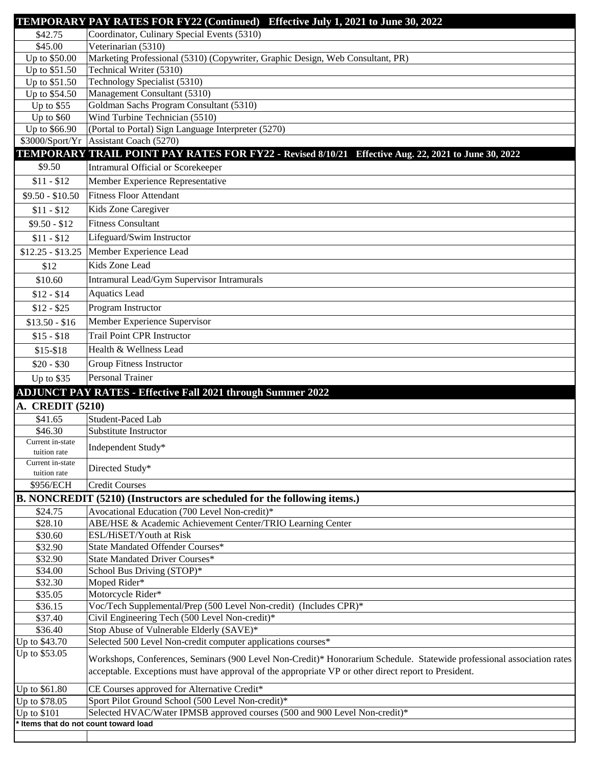|                                  | TEMPORARY PAY RATES FOR FY22 (Continued) Effective July 1, 2021 to June 30, 2022                                                                                            |
|----------------------------------|-----------------------------------------------------------------------------------------------------------------------------------------------------------------------------|
| \$42.75                          | Coordinator, Culinary Special Events (5310)                                                                                                                                 |
| \$45.00                          | Veterinarian (5310)                                                                                                                                                         |
| Up to \$50.00                    | Marketing Professional (5310) (Copywriter, Graphic Design, Web Consultant, PR)                                                                                              |
| Up to \$51.50                    | Technical Writer (5310)                                                                                                                                                     |
| Up to \$51.50                    | Technology Specialist (5310)                                                                                                                                                |
| Up to \$54.50                    | Management Consultant (5310)                                                                                                                                                |
| Up to $$55$<br>Up to $$60$       | Goldman Sachs Program Consultant (5310)<br>Wind Turbine Technician (5510)                                                                                                   |
| Up to \$66.90                    | (Portal to Portal) Sign Language Interpreter (5270)                                                                                                                         |
| \$3000/Sport/Yr                  | Assistant Coach (5270)                                                                                                                                                      |
|                                  | TEMPORARY TRAIL POINT PAY RATES FOR FY22 - Revised 8/10/21 Effective Aug. 22, 2021 to June 30, 2022                                                                         |
| \$9.50                           | Intramural Official or Scorekeeper                                                                                                                                          |
| $$11 - $12$                      | Member Experience Representative                                                                                                                                            |
| $$9.50 - $10.50$                 | <b>Fitness Floor Attendant</b>                                                                                                                                              |
| $$11 - $12$                      | Kids Zone Caregiver                                                                                                                                                         |
| $$9.50 - $12$                    | <b>Fitness Consultant</b>                                                                                                                                                   |
|                                  | Lifeguard/Swim Instructor                                                                                                                                                   |
| $$11 - $12$                      |                                                                                                                                                                             |
| $$12.25 - $13.25$                | Member Experience Lead                                                                                                                                                      |
| \$12                             | Kids Zone Lead                                                                                                                                                              |
| \$10.60                          | Intramural Lead/Gym Supervisor Intramurals                                                                                                                                  |
| $$12 - $14$                      | <b>Aquatics Lead</b>                                                                                                                                                        |
| $$12 - $25$                      | Program Instructor                                                                                                                                                          |
| $$13.50 - $16$                   | Member Experience Supervisor                                                                                                                                                |
| $$15 - $18$                      | <b>Trail Point CPR Instructor</b>                                                                                                                                           |
| $$15-$18$                        | Health & Wellness Lead                                                                                                                                                      |
| $$20 - $30$                      | <b>Group Fitness Instructor</b>                                                                                                                                             |
| Up to \$35                       | <b>Personal Trainer</b>                                                                                                                                                     |
|                                  |                                                                                                                                                                             |
|                                  |                                                                                                                                                                             |
| A. CREDIT (5210)                 | <b>ADJUNCT PAY RATES - Effective Fall 2021 through Summer 2022</b>                                                                                                          |
| \$41.65                          | Student-Paced Lab                                                                                                                                                           |
| \$46.30                          | Substitute Instructor                                                                                                                                                       |
| Current in-state                 |                                                                                                                                                                             |
| tuition rate                     | Independent Study*                                                                                                                                                          |
| Current in-state<br>tuition rate | Directed Study*                                                                                                                                                             |
| \$956/ECH                        | <b>Credit Courses</b>                                                                                                                                                       |
|                                  |                                                                                                                                                                             |
| \$24.75                          | B. NONCREDIT (5210) (Instructors are scheduled for the following items.)<br>Avocational Education (700 Level Non-credit)*                                                   |
| \$28.10                          | ABE/HSE & Academic Achievement Center/TRIO Learning Center                                                                                                                  |
| \$30.60                          | ESL/HiSET/Youth at Risk                                                                                                                                                     |
| \$32.90                          | State Mandated Offender Courses*                                                                                                                                            |
| \$32.90                          | State Mandated Driver Courses*                                                                                                                                              |
| \$34.00                          | School Bus Driving (STOP)*                                                                                                                                                  |
| \$32.30                          | Moped Rider*                                                                                                                                                                |
| \$35.05                          | Motorcycle Rider*                                                                                                                                                           |
| \$36.15<br>\$37.40               | Voc/Tech Supplemental/Prep (500 Level Non-credit) (Includes CPR)*<br>Civil Engineering Tech (500 Level Non-credit)*                                                         |
| \$36.40                          | Stop Abuse of Vulnerable Elderly (SAVE)*                                                                                                                                    |
| Up to \$43.70                    | Selected 500 Level Non-credit computer applications courses*                                                                                                                |
| Up to \$53.05                    |                                                                                                                                                                             |
|                                  | acceptable. Exceptions must have approval of the appropriate VP or other direct report to President.                                                                        |
| Up to \$61.80                    | CE Courses approved for Alternative Credit*                                                                                                                                 |
| Up to \$78.05                    | Workshops, Conferences, Seminars (900 Level Non-Credit)* Honorarium Schedule. Statewide professional association rates<br>Sport Pilot Ground School (500 Level Non-credit)* |
| Up to \$101                      | Selected HVAC/Water IPMSB approved courses (500 and 900 Level Non-credit)*<br>Items that do not count toward load                                                           |